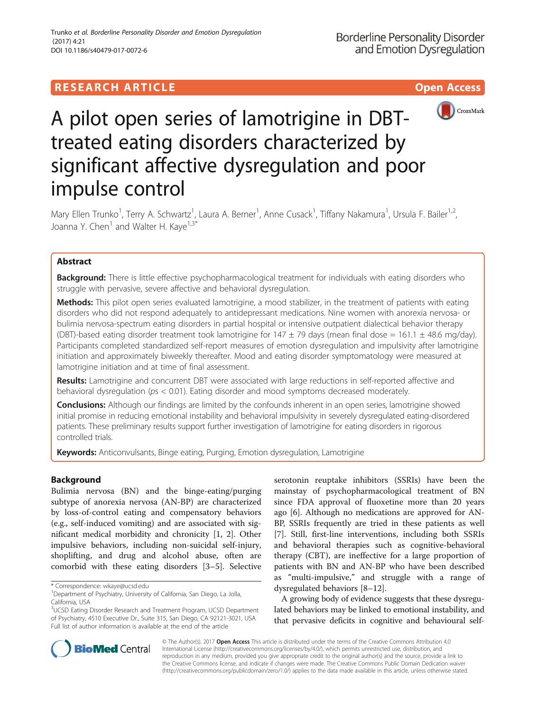## **RESEARCH ARTICLE Example 2018 12:30 THE Open Access**



# A pilot open series of lamotrigine in DBTtreated eating disorders characterized by significant affective dysregulation and poor impulse control

Mary Ellen Trunko<sup>1</sup>, Terry A. Schwartz<sup>1</sup>, Laura A. Berner<sup>1</sup>, Anne Cusack<sup>1</sup>, Tiffany Nakamura<sup>1</sup>, Ursula F. Bailer<sup>1,2</sup>, Joanna Y. Chen<sup>1</sup> and Walter H. Kaye<sup>1,3\*</sup>

## Abstract

**Background:** There is little effective psychopharmacological treatment for individuals with eating disorders who struggle with pervasive, severe affective and behavioral dysregulation.

Methods: This pilot open series evaluated lamotrigine, a mood stabilizer, in the treatment of patients with eating disorders who did not respond adequately to antidepressant medications. Nine women with anorexia nervosa- or bulimia nervosa-spectrum eating disorders in partial hospital or intensive outpatient dialectical behavior therapy (DBT)-based eating disorder treatment took lamotrigine for  $147 \pm 79$  days (mean final dose = 161.1  $\pm$  48.6 mg/day). Participants completed standardized self-report measures of emotion dysregulation and impulsivity after lamotrigine initiation and approximately biweekly thereafter. Mood and eating disorder symptomatology were measured at lamotrigine initiation and at time of final assessment.

Results: Lamotrigine and concurrent DBT were associated with large reductions in self-reported affective and behavioral dysregulation (ps < 0.01). Eating disorder and mood symptoms decreased moderately.

Conclusions: Although our findings are limited by the confounds inherent in an open series, lamotrigine showed initial promise in reducing emotional instability and behavioral impulsivity in severely dysregulated eating-disordered patients. These preliminary results support further investigation of lamotrigine for eating disorders in rigorous controlled trials.

Keywords: Anticonvulsants, Binge eating, Purging, Emotion dysregulation, Lamotrigine

## Background

Bulimia nervosa (BN) and the binge-eating/purging subtype of anorexia nervosa (AN-BP) are characterized by loss-of-control eating and compensatory behaviors (e.g., self-induced vomiting) and are associated with significant medical morbidity and chronicity [\[1](#page-7-0), [2\]](#page-7-0). Other impulsive behaviors, including non-suicidal self-injury, shoplifting, and drug and alcohol abuse, often are comorbid with these eating disorders [\[3](#page-7-0)–[5](#page-7-0)]. Selective

serotonin reuptake inhibitors (SSRIs) have been the mainstay of psychopharmacological treatment of BN since FDA approval of fluoxetine more than 20 years ago [[6\]](#page-7-0). Although no medications are approved for AN-BP, SSRIs frequently are tried in these patients as well [[7\]](#page-7-0). Still, first-line interventions, including both SSRIs and behavioral therapies such as cognitive-behavioral therapy (CBT), are ineffective for a large proportion of patients with BN and AN-BP who have been described as "multi-impulsive," and struggle with a range of dysregulated behaviors [[8](#page-7-0)–[12](#page-7-0)].

A growing body of evidence suggests that these dysregulated behaviors may be linked to emotional instability, and that pervasive deficits in cognitive and behavioural self-



© The Author(s). 2017 **Open Access** This article is distributed under the terms of the Creative Commons Attribution 4.0 International License [\(http://creativecommons.org/licenses/by/4.0/](http://creativecommons.org/licenses/by/4.0/)), which permits unrestricted use, distribution, and reproduction in any medium, provided you give appropriate credit to the original author(s) and the source, provide a link to the Creative Commons license, and indicate if changes were made. The Creative Commons Public Domain Dedication waiver [\(http://creativecommons.org/publicdomain/zero/1.0/](http://creativecommons.org/publicdomain/zero/1.0/)) applies to the data made available in this article, unless otherwise stated.

<sup>\*</sup> Correspondence: [wkaye@ucsd.edu](mailto:wkaye@ucsd.edu) <sup>1</sup>

<sup>&</sup>lt;sup>1</sup>Department of Psychiatry, University of California, San Diego, La Jolla, California, USA

<sup>&</sup>lt;sup>3</sup>UCSD Eating Disorder Research and Treatment Program, UCSD Department of Psychiatry, 4510 Executive Dr., Suite 315, San Diego, CA 92121-3021, USA Full list of author information is available at the end of the article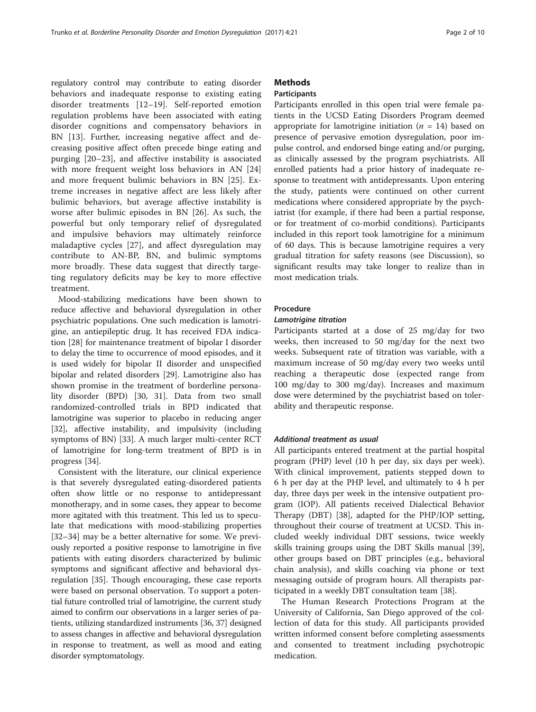regulatory control may contribute to eating disorder behaviors and inadequate response to existing eating disorder treatments [[12](#page-7-0)–[19\]](#page-7-0). Self-reported emotion regulation problems have been associated with eating disorder cognitions and compensatory behaviors in BN [\[13](#page-7-0)]. Further, increasing negative affect and decreasing positive affect often precede binge eating and purging [[20](#page-7-0)–[23\]](#page-7-0), and affective instability is associated with more frequent weight loss behaviors in AN [\[24](#page-7-0)] and more frequent bulimic behaviors in BN [\[25](#page-8-0)]. Extreme increases in negative affect are less likely after bulimic behaviors, but average affective instability is worse after bulimic episodes in BN [[26\]](#page-8-0). As such, the powerful but only temporary relief of dysregulated and impulsive behaviors may ultimately reinforce maladaptive cycles [\[27](#page-8-0)], and affect dysregulation may contribute to AN-BP, BN, and bulimic symptoms more broadly. These data suggest that directly targeting regulatory deficits may be key to more effective treatment.

Mood-stabilizing medications have been shown to reduce affective and behavioral dysregulation in other psychiatric populations. One such medication is lamotrigine, an antiepileptic drug. It has received FDA indication [\[28\]](#page-8-0) for maintenance treatment of bipolar I disorder to delay the time to occurrence of mood episodes, and it is used widely for bipolar II disorder and unspecified bipolar and related disorders [\[29](#page-8-0)]. Lamotrigine also has shown promise in the treatment of borderline personality disorder (BPD) [\[30](#page-8-0), [31](#page-8-0)]. Data from two small randomized-controlled trials in BPD indicated that lamotrigine was superior to placebo in reducing anger [[32\]](#page-8-0), affective instability, and impulsivity (including symptoms of BN) [[33\]](#page-8-0). A much larger multi-center RCT of lamotrigine for long-term treatment of BPD is in progress [\[34\]](#page-8-0).

Consistent with the literature, our clinical experience is that severely dysregulated eating-disordered patients often show little or no response to antidepressant monotherapy, and in some cases, they appear to become more agitated with this treatment. This led us to speculate that medications with mood-stabilizing properties [[32](#page-8-0)–[34](#page-8-0)] may be a better alternative for some. We previously reported a positive response to lamotrigine in five patients with eating disorders characterized by bulimic symptoms and significant affective and behavioral dysregulation [[35\]](#page-8-0). Though encouraging, these case reports were based on personal observation. To support a potential future controlled trial of lamotrigine, the current study aimed to confirm our observations in a larger series of patients, utilizing standardized instruments [[36](#page-8-0), [37\]](#page-8-0) designed to assess changes in affective and behavioral dysregulation in response to treatment, as well as mood and eating disorder symptomatology.

## **Methods**

## Participants

Participants enrolled in this open trial were female patients in the UCSD Eating Disorders Program deemed appropriate for lamotrigine initiation ( $n = 14$ ) based on presence of pervasive emotion dysregulation, poor impulse control, and endorsed binge eating and/or purging, as clinically assessed by the program psychiatrists. All enrolled patients had a prior history of inadequate response to treatment with antidepressants. Upon entering the study, patients were continued on other current medications where considered appropriate by the psychiatrist (for example, if there had been a partial response, or for treatment of co-morbid conditions). Participants included in this report took lamotrigine for a minimum of 60 days. This is because lamotrigine requires a very gradual titration for safety reasons (see Discussion), so significant results may take longer to realize than in most medication trials.

#### Procedure

#### Lamotrigine titration

Participants started at a dose of 25 mg/day for two weeks, then increased to 50 mg/day for the next two weeks. Subsequent rate of titration was variable, with a maximum increase of 50 mg/day every two weeks until reaching a therapeutic dose (expected range from 100 mg/day to 300 mg/day). Increases and maximum dose were determined by the psychiatrist based on tolerability and therapeutic response.

#### Additional treatment as usual

All participants entered treatment at the partial hospital program (PHP) level (10 h per day, six days per week). With clinical improvement, patients stepped down to 6 h per day at the PHP level, and ultimately to 4 h per day, three days per week in the intensive outpatient program (IOP). All patients received Dialectical Behavior Therapy (DBT) [[38](#page-8-0)], adapted for the PHP/IOP setting, throughout their course of treatment at UCSD. This included weekly individual DBT sessions, twice weekly skills training groups using the DBT Skills manual [\[39](#page-8-0)], other groups based on DBT principles (e.g., behavioral chain analysis), and skills coaching via phone or text messaging outside of program hours. All therapists participated in a weekly DBT consultation team [[38](#page-8-0)].

The Human Research Protections Program at the University of California, San Diego approved of the collection of data for this study. All participants provided written informed consent before completing assessments and consented to treatment including psychotropic medication.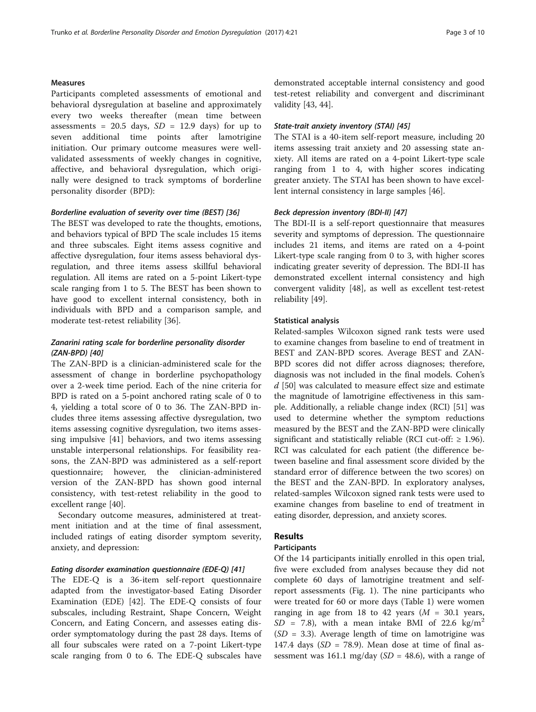#### Measures

Participants completed assessments of emotional and behavioral dysregulation at baseline and approximately every two weeks thereafter (mean time between assessments =  $20.5$  days,  $SD = 12.9$  days) for up to seven additional time points after lamotrigine initiation. Our primary outcome measures were wellvalidated assessments of weekly changes in cognitive, affective, and behavioral dysregulation, which originally were designed to track symptoms of borderline personality disorder (BPD):

#### Borderline evaluation of severity over time (BEST) [\[36\]](#page-8-0)

The BEST was developed to rate the thoughts, emotions, and behaviors typical of BPD The scale includes 15 items and three subscales. Eight items assess cognitive and affective dysregulation, four items assess behavioral dysregulation, and three items assess skillful behavioral regulation. All items are rated on a 5-point Likert-type scale ranging from 1 to 5. The BEST has been shown to have good to excellent internal consistency, both in individuals with BPD and a comparison sample, and moderate test-retest reliability [[36](#page-8-0)].

## Zanarini rating scale for borderline personality disorder (ZAN-BPD) [[40](#page-8-0)]

The ZAN-BPD is a clinician-administered scale for the assessment of change in borderline psychopathology over a 2-week time period. Each of the nine criteria for BPD is rated on a 5-point anchored rating scale of 0 to 4, yielding a total score of 0 to 36. The ZAN-BPD includes three items assessing affective dysregulation, two items assessing cognitive dysregulation, two items assessing impulsive [[41](#page-8-0)] behaviors, and two items assessing unstable interpersonal relationships. For feasibility reasons, the ZAN-BPD was administered as a self-report questionnaire; however, the clinician-administered version of the ZAN-BPD has shown good internal consistency, with test-retest reliability in the good to excellent range [\[40](#page-8-0)].

Secondary outcome measures, administered at treatment initiation and at the time of final assessment, included ratings of eating disorder symptom severity, anxiety, and depression:

#### Eating disorder examination questionnaire (EDE-Q) [[41](#page-8-0)]

The EDE-Q is a 36-item self-report questionnaire adapted from the investigator-based Eating Disorder Examination (EDE) [\[42](#page-8-0)]. The EDE-Q consists of four subscales, including Restraint, Shape Concern, Weight Concern, and Eating Concern, and assesses eating disorder symptomatology during the past 28 days. Items of all four subscales were rated on a 7-point Likert-type scale ranging from 0 to 6. The EDE-Q subscales have demonstrated acceptable internal consistency and good test-retest reliability and convergent and discriminant validity [\[43](#page-8-0), [44\]](#page-8-0).

#### State-trait anxiety inventory (STAI) [[45](#page-8-0)]

The STAI is a 40-item self-report measure, including 20 items assessing trait anxiety and 20 assessing state anxiety. All items are rated on a 4-point Likert-type scale ranging from 1 to 4, with higher scores indicating greater anxiety. The STAI has been shown to have excellent internal consistency in large samples [[46](#page-8-0)].

#### Beck depression inventory (BDI-II) [\[47\]](#page-8-0)

The BDI-II is a self-report questionnaire that measures severity and symptoms of depression. The questionnaire includes 21 items, and items are rated on a 4-point Likert-type scale ranging from 0 to 3, with higher scores indicating greater severity of depression. The BDI-II has demonstrated excellent internal consistency and high convergent validity [\[48](#page-8-0)], as well as excellent test-retest reliability [[49\]](#page-8-0).

#### Statistical analysis

Related-samples Wilcoxon signed rank tests were used to examine changes from baseline to end of treatment in BEST and ZAN-BPD scores. Average BEST and ZAN-BPD scores did not differ across diagnoses; therefore, diagnosis was not included in the final models. Cohen's  $d$  [\[50](#page-8-0)] was calculated to measure effect size and estimate the magnitude of lamotrigine effectiveness in this sample. Additionally, a reliable change index (RCI) [[51\]](#page-8-0) was used to determine whether the symptom reductions measured by the BEST and the ZAN-BPD were clinically significant and statistically reliable (RCI cut-off:  $\geq$  1.96). RCI was calculated for each patient (the difference between baseline and final assessment score divided by the standard error of difference between the two scores) on the BEST and the ZAN-BPD. In exploratory analyses, related-samples Wilcoxon signed rank tests were used to examine changes from baseline to end of treatment in eating disorder, depression, and anxiety scores.

## Results

## Participants

Of the 14 participants initially enrolled in this open trial, five were excluded from analyses because they did not complete 60 days of lamotrigine treatment and selfreport assessments (Fig. [1\)](#page-3-0). The nine participants who were treated for 60 or more days (Table [1](#page-3-0)) were women ranging in age from 18 to 42 years  $(M = 30.1$  years,  $SD = 7.8$ , with a mean intake BMI of 22.6 kg/m<sup>2</sup>  $(SD = 3.3)$ . Average length of time on lamotrigine was 147.4 days  $(SD = 78.9)$ . Mean dose at time of final assessment was 161.1 mg/day ( $SD = 48.6$ ), with a range of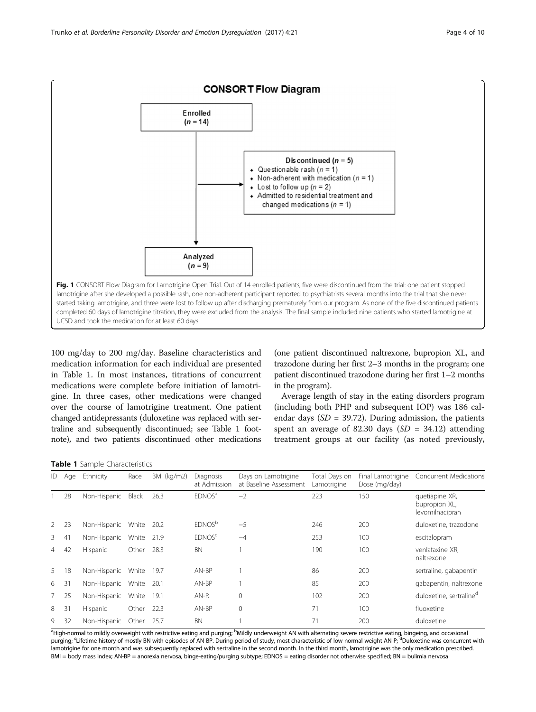<span id="page-3-0"></span>

100 mg/day to 200 mg/day. Baseline characteristics and medication information for each individual are presented in Table 1. In most instances, titrations of concurrent medications were complete before initiation of lamotrigine. In three cases, other medications were changed over the course of lamotrigine treatment. One patient changed antidepressants (duloxetine was replaced with sertraline and subsequently discontinued; see Table 1 footnote), and two patients discontinued other medications

(one patient discontinued naltrexone, bupropion XL, and trazodone during her first 2–3 months in the program; one patient discontinued trazodone during her first 1–2 months in the program).

Average length of stay in the eating disorders program (including both PHP and subsequent IOP) was 186 calendar days ( $SD = 39.72$ ). During admission, the patients spent an average of 82.30 days  $(SD = 34.12)$  attending treatment groups at our facility (as noted previously,

Table 1 Sample Characteristics

| ID | Age | Ethnicity       | Race  | BMI (kg/m2) | Diagnosis<br>at Admission | Days on Lamotrigine<br>at Baseline Assessment | Total Days on<br>Lamotrigine | Final Lamotrigine<br>Dose (mg/day) | <b>Concurrent Medications</b>                      |
|----|-----|-----------------|-------|-------------|---------------------------|-----------------------------------------------|------------------------------|------------------------------------|----------------------------------------------------|
|    | 28  | Non-Hispanic    | Black | 26.3        | EDNOS <sup>a</sup>        | $-2$                                          | 223                          | 150                                | quetiapine XR,<br>bupropion XL,<br>levomilnacipran |
|    | 23  | Non-Hispanic    | White | 20.2        | <b>FDNOS</b> <sup>b</sup> | $-5$                                          | 246                          | 200                                | duloxetine, trazodone                              |
| 3  | 41  | Non-Hispanic    | White | 21.9        | EDNOS <sup>c</sup>        | $-4$                                          | 253                          | 100                                | escitalopram                                       |
| 4  | 42  | <b>Hispanic</b> | Other | 28.3        | <b>BN</b>                 |                                               | 190                          | 100                                | venlafaxine XR.<br>naltrexone                      |
| 5. | 18  | Non-Hispanic    | White | 19.7        | AN-BP                     |                                               | 86                           | 200                                | sertraline, gabapentin                             |
| 6  | 31  | Non-Hispanic    | White | 20.1        | AN-BP                     |                                               | 85                           | 200                                | gabapentin, naltrexone                             |
|    | 25  | Non-Hispanic    | White | 19.1        | $AN-R$                    | $\mathbf{0}$                                  | 102                          | 200                                | duloxetine, sertraline <sup>d</sup>                |
| 8  | 31  | Hispanic        | Other | 22.3        | AN-BP                     | $\Omega$                                      | 71                           | 100                                | fluoxetine                                         |
| 9  | 32  | Non-Hispanic    | Other | 25.7        | <b>BN</b>                 |                                               | 71                           | 200                                | duloxetine                                         |

<sup>a</sup>High-normal to mildly overweight with restrictive eating and purging; <sup>b</sup>Mildly underweight AN with alternating severe restrictive eating, bingeing, and occasional purging; Lifetime history of mostly BN with episodes of AN-BP. During period of study, most characteristic of low-normal-weight AN-P; <sup>d</sup>Duloxetine was concurrent with lamotrigine for one month and was subsequently replaced with sertraline in the second month. In the third month, lamotrigine was the only medication prescribed. BMI = body mass index; AN-BP = anorexia nervosa, binge-eating/purging subtype; EDNOS = eating disorder not otherwise specified; BN = bulimia nervosa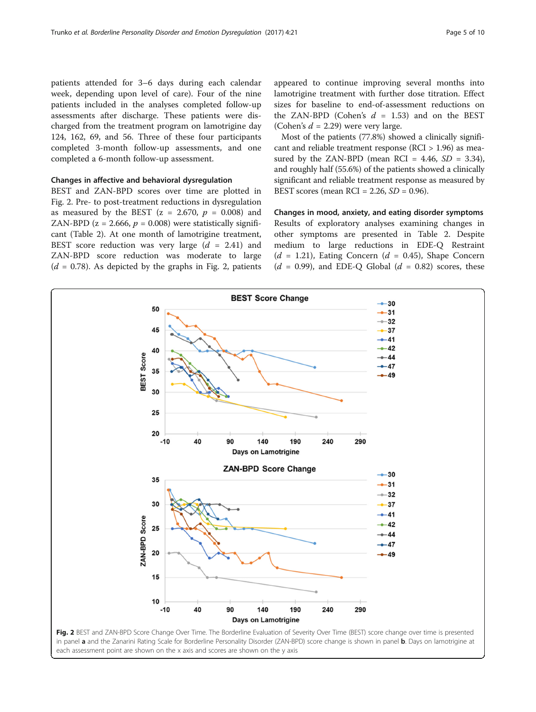patients attended for 3–6 days during each calendar week, depending upon level of care). Four of the nine patients included in the analyses completed follow-up assessments after discharge. These patients were discharged from the treatment program on lamotrigine day 124, 162, 69, and 56. Three of these four participants completed 3-month follow-up assessments, and one completed a 6-month follow-up assessment.

## Changes in affective and behavioral dysregulation

BEST and ZAN-BPD scores over time are plotted in Fig. 2. Pre- to post-treatment reductions in dysregulation as measured by the BEST ( $z = 2.670$ ,  $p = 0.008$ ) and ZAN-BPD ( $z = 2.666$ ,  $p = 0.008$ ) were statistically significant (Table [2](#page-5-0)). At one month of lamotrigine treatment, BEST score reduction was very large  $(d = 2.41)$  and ZAN-BPD score reduction was moderate to large  $(d = 0.78)$ . As depicted by the graphs in Fig. 2, patients

appeared to continue improving several months into lamotrigine treatment with further dose titration. Effect sizes for baseline to end-of-assessment reductions on the ZAN-BPD (Cohen's  $d = 1.53$ ) and on the BEST (Cohen's  $d = 2.29$ ) were very large.

Most of the patients (77.8%) showed a clinically significant and reliable treatment response (RCI > 1.96) as measured by the ZAN-BPD (mean RCI =  $4.46$ , SD =  $3.34$ ), and roughly half (55.6%) of the patients showed a clinically significant and reliable treatment response as measured by BEST scores (mean  $RCI = 2.26$ ,  $SD = 0.96$ ).

Changes in mood, anxiety, and eating disorder symptoms Results of exploratory analyses examining changes in other symptoms are presented in Table [2.](#page-5-0) Despite medium to large reductions in EDE-Q Restraint  $(d = 1.21)$ , Eating Concern  $(d = 0.45)$ , Shape Concern  $(d = 0.99)$ , and EDE-Q Global  $(d = 0.82)$  scores, these



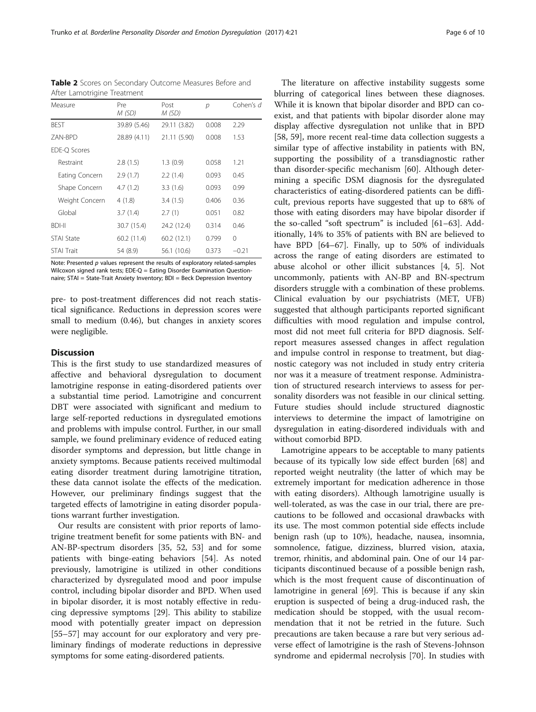| Measure           | Pre<br>M (SD) | Post<br>M (SD) | p     | Cohen's d |
|-------------------|---------------|----------------|-------|-----------|
| <b>BEST</b>       | 39.89 (5.46)  | 29.11 (3.82)   | 0.008 | 2.29      |
| <b>7AN-BPD</b>    | 28.89 (4.11)  | 21.11 (5.90)   | 0.008 | 1.53      |
| EDE-Q Scores      |               |                |       |           |
| Restraint         | 2.8(1.5)      | 1.3(0.9)       | 0.058 | 1.21      |
| Eating Concern    | 2.9(1.7)      | 2.2(1.4)       | 0.093 | 0.45      |
| Shape Concern     | 4.7(1.2)      | 3.3(1.6)       | 0.093 | 0.99      |
| Weight Concern    | 4(1.8)        | 3.4(1.5)       | 0.406 | 0.36      |
| Global            | 3.7(1.4)      | 2.7(1)         | 0.051 | 0.82      |
| <b>BDI-II</b>     | 30.7 (15.4)   | 24.2 (12.4)    | 0.314 | 0.46      |
| STAI State        | 60.2(11.4)    | 60.2(12.1)     | 0.799 | $\Omega$  |
| <b>STAI Trait</b> | 54 (8.9)      | 56.1 (10.6)    | 0.373 | $-0.21$   |

<span id="page-5-0"></span>Table 2 Scores on Secondary Outcome Measures Before and After Lamotrigine Treatment

Note: Presented  $p$  values represent the results of exploratory related-samples Wilcoxon signed rank tests; EDE-Q = Eating Disorder Examination Questionnaire; STAI = State-Trait Anxiety Inventory; BDI = Beck Depression Inventory

pre- to post-treatment differences did not reach statistical significance. Reductions in depression scores were small to medium (0.46), but changes in anxiety scores were negligible.

#### **Discussion**

This is the first study to use standardized measures of affective and behavioral dysregulation to document lamotrigine response in eating-disordered patients over a substantial time period. Lamotrigine and concurrent DBT were associated with significant and medium to large self-reported reductions in dysregulated emotions and problems with impulse control. Further, in our small sample, we found preliminary evidence of reduced eating disorder symptoms and depression, but little change in anxiety symptoms. Because patients received multimodal eating disorder treatment during lamotrigine titration, these data cannot isolate the effects of the medication. However, our preliminary findings suggest that the targeted effects of lamotrigine in eating disorder populations warrant further investigation.

Our results are consistent with prior reports of lamotrigine treatment benefit for some patients with BN- and AN-BP-spectrum disorders [[35, 52, 53](#page-8-0)] and for some patients with binge-eating behaviors [\[54](#page-8-0)]. As noted previously, lamotrigine is utilized in other conditions characterized by dysregulated mood and poor impulse control, including bipolar disorder and BPD. When used in bipolar disorder, it is most notably effective in reducing depressive symptoms [[29\]](#page-8-0). This ability to stabilize mood with potentially greater impact on depression [[55](#page-8-0)–[57](#page-8-0)] may account for our exploratory and very preliminary findings of moderate reductions in depressive symptoms for some eating-disordered patients.

The literature on affective instability suggests some blurring of categorical lines between these diagnoses. While it is known that bipolar disorder and BPD can coexist, and that patients with bipolar disorder alone may display affective dysregulation not unlike that in BPD [[58, 59\]](#page-8-0), more recent real-time data collection suggests a similar type of affective instability in patients with BN, supporting the possibility of a transdiagnostic rather than disorder-specific mechanism [[60](#page-8-0)]. Although determining a specific DSM diagnosis for the dysregulated characteristics of eating-disordered patients can be difficult, previous reports have suggested that up to 68% of those with eating disorders may have bipolar disorder if the so-called "soft spectrum" is included [[61](#page-8-0)–[63](#page-8-0)]. Additionally, 14% to 35% of patients with BN are believed to have BPD [\[64](#page-8-0)–[67\]](#page-8-0). Finally, up to 50% of individuals across the range of eating disorders are estimated to abuse alcohol or other illicit substances [[4, 5](#page-7-0)]. Not uncommonly, patients with AN-BP and BN-spectrum disorders struggle with a combination of these problems. Clinical evaluation by our psychiatrists (MET, UFB) suggested that although participants reported significant difficulties with mood regulation and impulse control, most did not meet full criteria for BPD diagnosis. Selfreport measures assessed changes in affect regulation and impulse control in response to treatment, but diagnostic category was not included in study entry criteria nor was it a measure of treatment response. Administration of structured research interviews to assess for personality disorders was not feasible in our clinical setting. Future studies should include structured diagnostic interviews to determine the impact of lamotrigine on dysregulation in eating-disordered individuals with and without comorbid BPD.

Lamotrigine appears to be acceptable to many patients because of its typically low side effect burden [\[68](#page-8-0)] and reported weight neutrality (the latter of which may be extremely important for medication adherence in those with eating disorders). Although lamotrigine usually is well-tolerated, as was the case in our trial, there are precautions to be followed and occasional drawbacks with its use. The most common potential side effects include benign rash (up to 10%), headache, nausea, insomnia, somnolence, fatigue, dizziness, blurred vision, ataxia, tremor, rhinitis, and abdominal pain. One of our 14 participants discontinued because of a possible benign rash, which is the most frequent cause of discontinuation of lamotrigine in general [\[69\]](#page-8-0). This is because if any skin eruption is suspected of being a drug-induced rash, the medication should be stopped, with the usual recommendation that it not be retried in the future. Such precautions are taken because a rare but very serious adverse effect of lamotrigine is the rash of Stevens-Johnson syndrome and epidermal necrolysis [\[70\]](#page-9-0). In studies with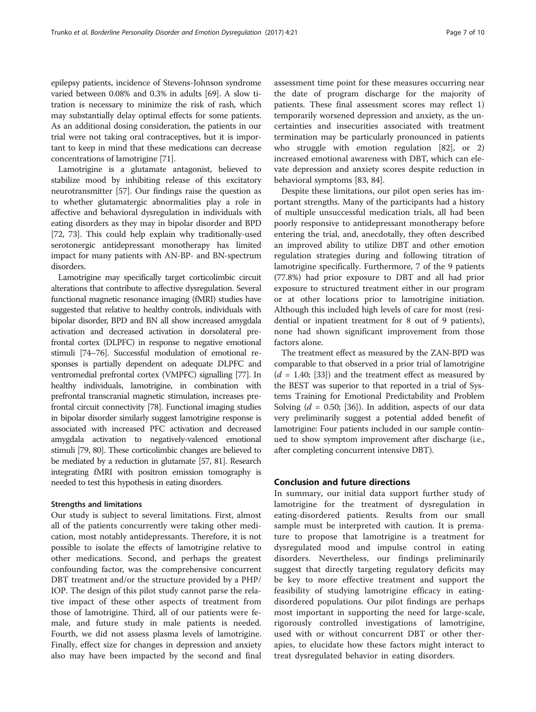epilepsy patients, incidence of Stevens-Johnson syndrome varied between 0.08% and 0.3% in adults [[69](#page-8-0)]. A slow titration is necessary to minimize the risk of rash, which may substantially delay optimal effects for some patients. As an additional dosing consideration, the patients in our trial were not taking oral contraceptives, but it is important to keep in mind that these medications can decrease concentrations of lamotrigine [\[71](#page-9-0)].

Lamotrigine is a glutamate antagonist, believed to stabilize mood by inhibiting release of this excitatory neurotransmitter [[57](#page-8-0)]. Our findings raise the question as to whether glutamatergic abnormalities play a role in affective and behavioral dysregulation in individuals with eating disorders as they may in bipolar disorder and BPD [[72](#page-9-0), [73\]](#page-9-0). This could help explain why traditionally-used serotonergic antidepressant monotherapy has limited impact for many patients with AN-BP- and BN-spectrum disorders.

Lamotrigine may specifically target corticolimbic circuit alterations that contribute to affective dysregulation. Several functional magnetic resonance imaging (fMRI) studies have suggested that relative to healthy controls, individuals with bipolar disorder, BPD and BN all show increased amygdala activation and decreased activation in dorsolateral prefrontal cortex (DLPFC) in response to negative emotional stimuli [[74](#page-9-0)–[76](#page-9-0)]. Successful modulation of emotional responses is partially dependent on adequate DLPFC and ventromedial prefrontal cortex (VMPFC) signalling [\[77\]](#page-9-0). In healthy individuals, lamotrigine, in combination with prefrontal transcranial magnetic stimulation, increases prefrontal circuit connectivity [\[78](#page-9-0)]. Functional imaging studies in bipolar disorder similarly suggest lamotrigine response is associated with increased PFC activation and decreased amygdala activation to negatively-valenced emotional stimuli [\[79](#page-9-0), [80](#page-9-0)]. These corticolimbic changes are believed to be mediated by a reduction in glutamate [[57](#page-8-0), [81\]](#page-9-0). Research integrating fMRI with positron emission tomography is needed to test this hypothesis in eating disorders.

#### Strengths and limitations

Our study is subject to several limitations. First, almost all of the patients concurrently were taking other medication, most notably antidepressants. Therefore, it is not possible to isolate the effects of lamotrigine relative to other medications. Second, and perhaps the greatest confounding factor, was the comprehensive concurrent DBT treatment and/or the structure provided by a PHP/ IOP. The design of this pilot study cannot parse the relative impact of these other aspects of treatment from those of lamotrigine. Third, all of our patients were female, and future study in male patients is needed. Fourth, we did not assess plasma levels of lamotrigine. Finally, effect size for changes in depression and anxiety also may have been impacted by the second and final assessment time point for these measures occurring near the date of program discharge for the majority of patients. These final assessment scores may reflect 1) temporarily worsened depression and anxiety, as the uncertainties and insecurities associated with treatment termination may be particularly pronounced in patients who struggle with emotion regulation [[82](#page-9-0)], or 2) increased emotional awareness with DBT, which can elevate depression and anxiety scores despite reduction in behavioral symptoms [[83](#page-9-0), [84](#page-9-0)].

Despite these limitations, our pilot open series has important strengths. Many of the participants had a history of multiple unsuccessful medication trials, all had been poorly responsive to antidepressant monotherapy before entering the trial, and, anecdotally, they often described an improved ability to utilize DBT and other emotion regulation strategies during and following titration of lamotrigine specifically. Furthermore, 7 of the 9 patients (77.8%) had prior exposure to DBT and all had prior exposure to structured treatment either in our program or at other locations prior to lamotrigine initiation. Although this included high levels of care for most (residential or inpatient treatment for 8 out of 9 patients), none had shown significant improvement from those factors alone.

The treatment effect as measured by the ZAN-BPD was comparable to that observed in a prior trial of lamotrigine  $(d = 1.40; [33])$  $(d = 1.40; [33])$  $(d = 1.40; [33])$  and the treatment effect as measured by the BEST was superior to that reported in a trial of Systems Training for Emotional Predictability and Problem Solving  $(d = 0.50; [36])$  $(d = 0.50; [36])$  $(d = 0.50; [36])$ . In addition, aspects of our data very preliminarily suggest a potential added benefit of lamotrigine: Four patients included in our sample continued to show symptom improvement after discharge (i.e., after completing concurrent intensive DBT).

## Conclusion and future directions

In summary, our initial data support further study of lamotrigine for the treatment of dysregulation in eating-disordered patients. Results from our small sample must be interpreted with caution. It is premature to propose that lamotrigine is a treatment for dysregulated mood and impulse control in eating disorders. Nevertheless, our findings preliminarily suggest that directly targeting regulatory deficits may be key to more effective treatment and support the feasibility of studying lamotrigine efficacy in eatingdisordered populations. Our pilot findings are perhaps most important in supporting the need for large-scale, rigorously controlled investigations of lamotrigine, used with or without concurrent DBT or other therapies, to elucidate how these factors might interact to treat dysregulated behavior in eating disorders.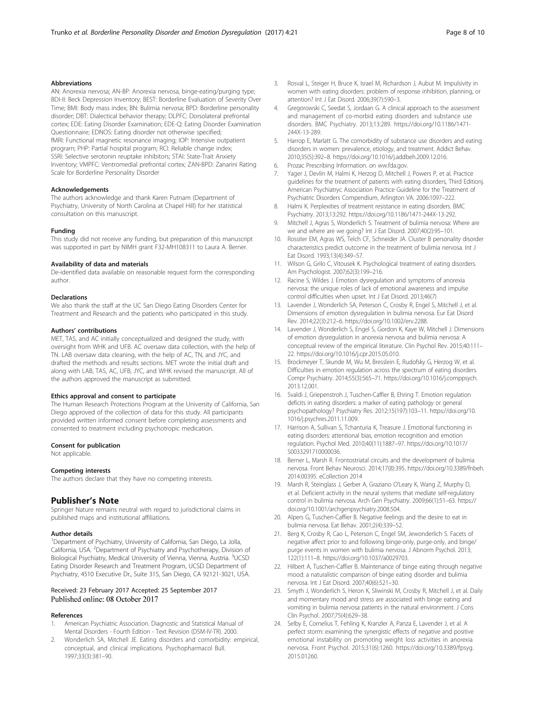#### <span id="page-7-0"></span>Abbreviations

AN: Anorexia nervosa; AN-BP: Anorexia nervosa, binge-eating/purging type; BDI-II: Beck Depression Inventory; BEST: Borderline Evaluation of Severity Over Time; BMI: Body mass index; BN: Bulimia nervosa; BPD: Borderline personality disorder; DBT: Dialectical behavior therapy; DLPFC: Dorsolateral prefrontal cortex; EDE: Eating Disorder Examination; EDE-Q: Eating Disorder Examination Questionnaire; EDNOS: Eating disorder not otherwise specified; fMRI: Functional magnetic resonance imaging; IOP: Intensive outpatient program; PHP: Partial hospital program; RCI: Reliable change index; SSRI: Selective serotonin reuptake inhibitors; STAI: State-Trait Anxiety Inventory; VMPFC: Ventromedial prefrontal cortex; ZAN-BPD: Zanarini Rating Scale for Borderline Personality Disorder

#### Acknowledgements

The authors acknowledge and thank Karen Putnam (Department of Psychiatry, University of North Carolina at Chapel Hill) for her statistical consultation on this manuscript.

#### Funding

This study did not receive any funding, but preparation of this manuscript was supported in part by NIMH grant F32-MH108311 to Laura A. Berner.

#### Availability of data and materials

De-identified data available on reasonable request form the corresponding author.

#### Declarations

We also thank the staff at the UC San Diego Eating Disorders Center for Treatment and Research and the patients who participated in this study.

#### Authors' contributions

MET, TAS, and AC initially conceptualized and designed the study, with oversight from WHK and UFB. AC oversaw data collection, with the help of TN. LAB oversaw data cleaning, with the help of AC, TN, and JYC, and drafted the methods and results sections. MET wrote the initial draft and along with LAB, TAS, AC, UFB, JYC, and WHK revised the manuscript. All of the authors approved the manuscript as submitted.

#### Ethics approval and consent to participate

The Human Research Protections Program at the University of California, San Diego approved of the collection of data for this study. All participants provided written informed consent before completing assessments and consented to treatment including psychotropic medication.

#### Consent for publication

Not applicable.

#### Competing interests

The authors declare that they have no competing interests.

#### Publisher's Note

Springer Nature remains neutral with regard to jurisdictional claims in published maps and institutional affiliations.

#### Author details

<sup>1</sup>Department of Psychiatry, University of California, San Diego, La Jolla, California, USA. <sup>2</sup>Department of Psychiatry and Psychotherapy, Division of Biological Psychiatry, Medical University of Vienna, Vienna, Austria. <sup>3</sup>UCSD Eating Disorder Research and Treatment Program, UCSD Department of Psychiatry, 4510 Executive Dr., Suite 315, San Diego, CA 92121-3021, USA.

#### Received: 23 February 2017 Accepted: 25 September 2017 Published online: 08 October 2017

#### References

- American Psychiatric Association. Diagnostic and Statistical Manual of Mental Disorders - Fourth Edition - Text Revision (DSM-IV-TR). 2000.
- 2. Wonderlich SA, Mitchell JE. Eating disorders and comorbidity: empirical, conceptual, and clinical implications. Psychopharmacol Bull. 1997;33(3):381–90.
- 3. Rosval L, Steiger H, Bruce K, Israel M, Richardson J, Aubut M. Impulsivity in women with eating disorders: problem of response inhibition, planning, or attention? Int J Eat Disord. 2006;39(7):590–3.
- Gregorowski C, Seedat S, Jordaan G. A clinical approach to the assessment and management of co-morbid eating disorders and substance use disorders. BMC Psychiatry. 2013;13:289. [https://doi.org/10.1186/1471-](http://dx.doi.org/10.1186/1471-244X-13-289) [244X-13-289](http://dx.doi.org/10.1186/1471-244X-13-289).
- 5. Harrop E, Marlatt G. The comorbidity of substance use disorders and eating disorders in women: prevalence, etiology, and treatment. Addict Behav. 2010;35(5):392–8. [https://doi.org/10.1016/j.addbeh.2009.12.016](http://dx.doi.org/10.1016/j.addbeh.2009.12.016).
- 6. Prozac Prescribing Information. on ww[.fda.gov](http://fda.gov).
- 7. Yager J, Devlin M, Halmi K, Herzog D, Mitchell J, Powers P, et al. Practice guidelines for the treatment of patients with eating disorders, Third Editionj. American Psychiatryc Association Practice Guideline for the Treatment of Psychiatric Disorders Compendium, Arlington VA. 2006:1097–222.
- 8. Halmi K. Perplexities of treatment resistance in eating disorders. BMC Psychiatry. 2013;13:292. [https://doi.org/10.1186/1471-244X-13-292.](http://dx.doi.org/10.1186/1471-244X-13-292)
- 9. Mitchell J, Agras S, Wonderlich S. Treatment of bulimia nervosa: Where are we and where are we going? Int J Eat Disord. 2007;40(2):95–101.
- 10. Rossiter EM, Agras WS, Telch CF, Schneider JA. Cluster B personality disorder characteristics predict outcome in the treatment of bulimia nervosa. Int J Eat Disord. 1993;13(4):349–57.
- 11. Wilson G, Grilo C, Vitousek K. Psychological treatment of eating disorders. Am Psychologist. 2007;62(3):199–216.
- 12. Racine S, Wildes J. Emotion dysregulation and symptoms of anorexia nervosa: the unique roles of lack of emotional awareness and impulse control difficulties when upset. Int J Eat Disord. 2013;46(7)
- 13. Lavender J, Wonderlich SA, Peterson C, Crosby R, Engel S, Mitchell J, et al. Dimensions of emotion dysregulation in bulimia nervosa. Eur Eat Disord Rev. 2014;22(3):212–6. [https://doi.org/10.1002/erv.2288](http://dx.doi.org/10.1002/erv.2288).
- 14. Lavender J, Wonderlich S, Engel S, Gordon K, Kaye W, Mitchell J. Dimensions of emotion dysregulation in anorexia nervosa and bulimia nervosa: A conceptual review of the empirical literature. Clin Psychol Rev. 2015;40:111– 22. [https://doi.org/10.1016/j.cpr.2015.05.010](http://dx.doi.org/10.1016/j.cpr.2015.05.010).
- 15. Brockmeyer T, Skunde M, Wu M, Bresslein E, Rudofsky G, Herzog W, et al. Difficulties in emotion regulation across the spectrum of eating disorders. Compr Psychiatry. 2014;55(3):565–71. [https://doi.org/10.1016/j.comppsych.](http://dx.doi.org/10.1016/j.comppsych.2013.12.001) [2013.12.001.](http://dx.doi.org/10.1016/j.comppsych.2013.12.001)
- 16. Svaldi J, Griepenstroh J, Tuschen-Caffier B, Ehring T. Emotion regulation deficits in eating disorders: a marker of eating pathology or general psychopathology? Psychiatry Res. 2012;15(197):103–11. [https://doi.org/10.](http://dx.doi.org/10.1016/j.psychres.2011.11.009) [1016/j.psychres.2011.11.009](http://dx.doi.org/10.1016/j.psychres.2011.11.009).
- 17. Harrison A, Sullivan S, Tchanturia K, Treasure J. Emotional functioning in eating disorders: attentional bias, emotion recognition and emotion regulation. Psychol Med. 2010;40(11):1887–97. [https://doi.org/10.1017/](http://dx.doi.org/10.1017/S0033291710000036) [S0033291710000036.](http://dx.doi.org/10.1017/S0033291710000036)
- 18. Berner L, Marsh R. Frontostriatal circuits and the development of bulimia nervosa. Front Behav Neurosci. 2014;17(8):395. [https://doi.org/10.3389/fnbeh.](http://dx.doi.org/10.3389/fnbeh.2014.00395) [2014.00395.](http://dx.doi.org/10.3389/fnbeh.2014.00395) eCollection 2014
- 19. Marsh R, Steinglass J, Gerber A, Graziano O'Leary K, Wang Z, Murphy D, et al. Deficient activity in the neural systems that mediate self-regulatory control in bulimia nervosa. Arch Gen Psychiatry. 2009;66(1):51–63. [https://](http://dx.doi.org/10.1001/archgenpsychiatry.2008.504) [doi.org/10.1001/archgenpsychiatry.2008.504](http://dx.doi.org/10.1001/archgenpsychiatry.2008.504).
- 20. Alpers G, Tuschen-Caffier B. Negative feelings and the desire to eat in bulimia nervosa. Eat Behav. 2001;2(4):339–52.
- 21. Berg K, Crosby R, Cao L, Peterson C, Engel SM, Jewonderlich S. Facets of negative affect prior to and following binge-only, purge-only, and binge/ purge events in women with bulimia nervosa. J Abnorm Psychol. 2013; 122(1):111–8. [https://doi.org/10.1037/a0029703](http://dx.doi.org/10.1037/a0029703).
- 22. Hilbert A, Tuschen-Caffier B. Maintenance of binge eating through negative mood: a naturalistic comparison of binge eating disorder and bulimia nervosa. Int J Eat Disord. 2007;40(6):521–30.
- 23. Smyth J, Wonderlich S, Heron K, Sliwinski M, Crosby R, Mitchell J, et al. Daily and momentary mood and stress are associated with binge eating and vomiting in bulimia nervosa patients in the natural environment. J Cons Clin Psychol. 2007;75(4):629–38.
- 24. Selby E, Cornelius T, Fehling K, Kranzler A, Panza E, Lavender J, et al. A perfect storm: examining the synergistic effects of negative and positive emotional instability on promoting weight loss activities in anorexia nervosa. Front Psychol. 2015;31(6):1260. [https://doi.org/10.3389/fpsyg.](http://dx.doi.org/10.3389/fpsyg.2015.01260) [2015.01260.](http://dx.doi.org/10.3389/fpsyg.2015.01260)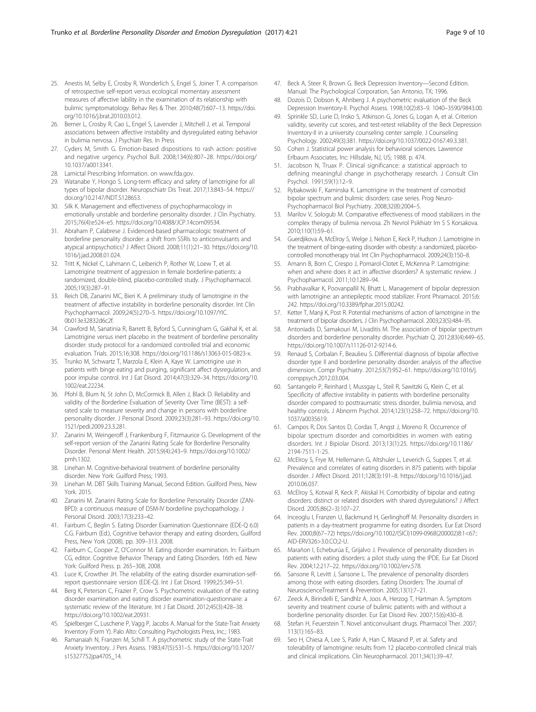- <span id="page-8-0"></span>25. Anestis M, Selby E, Crosby R, Wonderlich S, Engel S, Joiner T. A comparison of retrospective self-report versus ecological momentary assessment measures of affective lability in the examination of its relationship with bulimic symptomatology. Behav Res & Ther. 2010;48(7):607–13. [https://doi.](http://dx.doi.org/10.1016/j.brat.2010.03.012) [org/10.1016/j.brat.2010.03.012](http://dx.doi.org/10.1016/j.brat.2010.03.012).
- 26. Berner L, Crosby R, Cao L, Engel S, Lavender J, Mitchell J, et al. Temporal associations between affective instability and dysregulated eating behavior in bulimia nervosa. J Psychiatr Res. In Press
- 27. Cyders M, Smith G. Emotion-based dispositions to rash action: positive and negative urgency. Psychol Bull. 2008;134(6):807–28. [https://doi.org/](http://dx.doi.org/10.1037/a0013341) [10.1037/a0013341](http://dx.doi.org/10.1037/a0013341).
- 28. Lamictal Prescribing Information. on [www.fda.gov.](http://www.fda.gov)
- 29. Watanabe Y, Hongo S. Long-term efficacy and safety of lamotrigine for all types of bipolar disorder. Neuropschiatr Dis Treat. 2017;13:843–54. [https://](http://dx.doi.org/10.2147/NDT.S128653) [doi.org/10.2147/NDT.S128653.](http://dx.doi.org/10.2147/NDT.S128653)
- 30. Silk K. Management and effectiveness of psychopharmacology in emotionally unstable and borderline personality disorder. J Clin Psychiatry. 2015;76(4):e524–e5. [https://doi.org/10.4088/JCP.14com09534.](http://dx.doi.org/10.4088/JCP.14com09534)
- 31. Abraham P, Calabrese J. Evidenced-based pharmacologic treatment of borderline personality disorder: a shift from SSRIs to anticonvulsants and atypical antipsychotics? J Affect Disord. 2008;11(1):21–30. [https://doi.org/10.](http://dx.doi.org/10.1016/j.jad.2008.01.024) [1016/j.jad.2008.01.024](http://dx.doi.org/10.1016/j.jad.2008.01.024).
- 32. Tritt K, Nickel C, Lahmann C, Leiberich P, Rother W, Loew T, et al. Lamotrigine treatment of aggression in female borderline-patients: a randomized, double-blind, placebo-controlled study. J Psychopharmacol. 2005;19(3):287–91.
- 33. Reich DB, Zanarini MC, Bieri K. A preliminary study of lamotrigine in the treatment of affective instability in borderline personality disorder. Int Clin Psychopharmacol. 2009;24(5):270–5. [https://doi.org/10.1097/YIC.](http://dx.doi.org/10.1097/YIC.0b013e32832d6c2f) [0b013e32832d6c2f](http://dx.doi.org/10.1097/YIC.0b013e32832d6c2f).
- 34. Crawford M, Sanatinia R, Barrett B, Byford S, Cunningham G, Gakhal K, et al. Lamotrigine versus inert placebo in the treatment of borderline personality disorder: study protocol for a randomized controlled trial and economic evaluation. Trials. 2015;16:308. [https://doi.org/10.1186/s13063-015-0823-x](http://dx.doi.org/10.1186/s13063-015-0823-x).
- 35. Trunko M, Schwartz T, Marzola E, Klein A, Kaye W. Lamotrigine use in patients with binge eating and purging, significant affect dysregulation, and poor impulse control. Int J Eat Disord. 2014;47(3):329–34. [https://doi.org/10.](http://dx.doi.org/10.1002/eat.22234) [1002/eat.22234.](http://dx.doi.org/10.1002/eat.22234)
- 36. Pfohl B, Blum N, St John D, McCormick B, Allen J, Black D. Reliability and validity of the Borderline Evaluation of Severity Over Time (BEST): a selfrated scale to measure severity and change in persons with borderline personality disorder. J Personal Disord. 2009;23(3):281–93. [https://doi.org/10.](http://dx.doi.org/10.1521/pedi.2009.23.3.281) [1521/pedi.2009.23.3.281](http://dx.doi.org/10.1521/pedi.2009.23.3.281).
- 37. Zanarini M, Weingeroff J, Frankenburg F, Fitzmaurice G. Development of the self-report version of the Zanarini Rating Scale for Borderline Personality Disorder. Personal Ment Health. 2015;9(4):243–9. [https://doi.org/10.1002/](http://dx.doi.org/10.1002/pmh.1302) [pmh.1302.](http://dx.doi.org/10.1002/pmh.1302)
- 38. Linehan M. Cognitive-behavioral treatment of borderline personality disorder. New York: Guilford Press; 1993.
- 39. Linehan M. DBT Skills Training Manual, Second Edition. Guilford Press, New York. 2015.
- 40. Zanarini M. Zanarini Rating Scale for Borderline Personality Disorder (ZAN-BPD): a continuous measure of DSM-IV borderline psychopathology. J Personal Disord. 2003;17(3):233–42.
- 41. Fairburn C, Beglin S. Eating Disorder Examination Questionnaire (EDE-Q 6.0) C.G. Fairburn (Ed.), Cognitive behavior therapy and eating disorders, Guilford Press, New York (2008), pp. 309–313. 2008.
- 42. Fairburn C, Cooper Z, O'Connor M. Eating disorder examination. In: Fairburn CG, editor. Cognitive Behavior Therapy and Eating Disorders. 16th ed. New York: Guilford Press. p. 265–308, 2008.
- 43. Luce K, Crowther JH. The reliability of the eating disorder examination-selfreport questionnaire version (EDE-Q). Int J Eat Disord. 1999;25:349–51.
- 44. Berg K, Peterson C, Frazier P, Crow S. Psychometric evaluation of the eating disorder examination and eating disorder examination-questionnaire: a systematic review of the literature. Int J Eat Disord. 2012;45(3):428–38. [https://doi.org/10.1002/eat.20931.](http://dx.doi.org/10.1002/eat.20931)
- 45. Spielberger C, Luschene P, Vagg P, Jacobs A. Manual for the State-Trait Anxiety Inventory (Form Y). Palo Alto: Consulting Psychologists Press, Inc.; 1983.
- 46. Ramanaiah N, Franzen M, Schill T. A psychometric study of the State-Trait Anxiety Inventory. J Pers Assess. 1983;47(5):531–5. [https://doi.org/10.1207/](http://dx.doi.org/10.1207/s15327752jpa4705_14) [s15327752jpa4705\\_14](http://dx.doi.org/10.1207/s15327752jpa4705_14).
- 47. Beck A, Steer R, Brown G. Beck Depression Inventory—Second Edition. Manual: The Psychological Corporation, San Antonio, TX; 1996.
- 48. Dozois D, Dobson K, Ahnberg J. A psychometric evaluation of the Beck Depression Inventory-II. Psychol Assess. 1998;10(2):83–9. 1040–3590/9843.00.
- 49. Sprinkle SD, Lurie D, Insko S, Atkinson G, Jones G, Logan A, et al. Criterion validity, severity cut scores, and test-retest reliability of the Beck Depression Inventory-II in a university counseling center sample. J Counseling Psychology. 2002;49(3):381. [https://doi.org/10.1037/0022-0167.49.3.381](http://dx.doi.org/10.1037/0022-0167.49.3.381).
- 50. Cohen J. Statistical power analysis for behavioral sciences. Lawrence Erlbaum Associates, Inc: Hillsdale, NJ, US; 1988. p. 474.
- 51. Jacobson N, Truax P. Clinical significance: a statistical approach to defining meaningful change in psychotherapy research. J Consult Clin Psychol. 1991;59(1):12–9.
- 52. Rybakowski F, Kaminska K. Lamotrigine in the treatment of comorbid bipolar spectrum and bulimic disorders: case series. Prog Neuro-Psychopharmacol Biol Psychiatry. 2008;32(8):2004–5.
- 53. Marilov V, Sologub M. Comparative effectiveness of mood stabilizers in the complex therapy of bulimia nervosa. Zh Nevrol Psikhiatr Im S S Korsakova. 2010;110(1):59–61.
- 54. Guerdjikova A, McElroy S, Welge J, Nelson E, Keck P, Hudson J. Lamotrigine in the treatment of binge-eating disorder with obesity: a randomized, placebocontrolled monotherapy trial. Int Clin Psychopharmacol. 2009;24(3):150–8.
- 55. Amann B, Born C, Crespo J, Pomarol-Clotet E, McKenna P. Lamotrigine: when and where does it act in affective disorders? A systematic review. J Psychopharmacol. 2011;10:1289–94.
- 56. Prabhavalkar K, Poovanpallil N, Bhatt L. Management of bipolar depression with lamotrigine: an antiepileptic mood stabilizer. Front Phramacol. 2015;6: 242. [https://doi.org/10.3389/fphar.2015.00242](http://dx.doi.org/10.3389/fphar.2015.00242).
- 57. Ketter T, Manji K, Post R. Potential mechanisms of action of lamotrigine in the treatment of bipolar disorders. J Clin Psychopharmacol. 2003;23(5):484–95.
- 58. Antoniadis D, Samakouri M, Livaditis M. The association of bipolar spectrum disorders and borderline personality disorder. Psychiatr Q. 2012;83(4):449–65. [https://doi.org/10.1007/s11126-012-9214-6](http://dx.doi.org/10.1007/s11126-012-9214-6).
- 59. Renaud S, Corbalan F, Beaulieu S. Differential diagnosis of bipolar affective disorder type II and borderline personality disorder: analysis of the affective dimension. Compr Psychiatry. 2012;53(7):952–61. [https://doi.org/10.1016/j.](http://dx.doi.org/10.1016/j.comppsych.2012.03.004) [comppsych.2012.03.004](http://dx.doi.org/10.1016/j.comppsych.2012.03.004).
- 60. Santangelo P, Reinhard I, Mussgay L, Steil R, Sawitzki G, Klein C, et al. Specificity of affective instability in patients with borderline personality disorder compared to posttraumatic stress disorder, bulimia nervosa, and healthy controls. J Abnorm Psychol. 2014;123(1):258–72. [https://doi.org/10.](http://dx.doi.org/10.1037/a0035619) [1037/a0035619.](http://dx.doi.org/10.1037/a0035619)
- 61. Campos R, Dos Santos D, Cordas T, Angst J, Moreno R. Occurrence of bipolar spectrum disorder and comorbidities in women with eating disorders. Int J Bipiolar Disord. 2013;13(1):25. [https://doi.org/10.1186/](http://dx.doi.org/10.1186/2194-7511-1-25) [2194-7511-1-25.](http://dx.doi.org/10.1186/2194-7511-1-25)
- 62. McElroy S, Frye M, Hellemann G, Altshuler L, Leverich G, Suppes T, et al. Prevalence and correlates of eating disorders in 875 patients with bipolar disorder. J Affect Disord. 2011;128(3):191–8. [https://doi.org/10.1016/j.jad.](http://dx.doi.org/10.1016/j.jad.2010.06.037) [2010.06.037.](http://dx.doi.org/10.1016/j.jad.2010.06.037)
- 63. McElroy S, Kotwal R, Keck P, Akiskal H. Comorbidity of bipolar and eating disorders: distinct or related disorders with shared dysregulations? J Affect Disord. 2005;86(2–3):107–27.
- 64. Inceoglu I, Franzen U, Backmund H, Gerlinghoff M. Personality disorders in patients in a day-treatment programme for eating disorders. Eur Eat Disord Rev. 2000;8(67–72) [https://doi.org/10.1002/\(SICI\)1099-0968\(200002\)8:1<67::](http://dx.doi.org/10.1002/(SICI)1099-0968(200002)8:1<67::AID-ERV326>3.0.CO;2-U) [AID-ERV326>3.0.CO;2-U.](http://dx.doi.org/10.1002/(SICI)1099-0968(200002)8:1<67::AID-ERV326>3.0.CO;2-U)
- 65. Marañon I, Echeburúa E, Grijalvo J. Prevalence of personality disorders in patients with eating disorders: a pilot study using the IPDE. Eur Eat Disord Rev. 2004;12:217–22. [https://doi.org/10.1002/erv.578](http://dx.doi.org/10.1002/erv.578).
- 66. Sansone R, Levitt J, Sansone L. The prevalence of personality disorders among those with eating disorders. Eating Disorders: The Journal of NeuroscienceTreatment & Prevention. 2005;13(1):7–21.
- 67. Zeeck A, Birindelli E, Sandhlz A, Joos A, Herzog T, Hartman A. Symptom severity and treatment course of bulimic patients with and without a borderline personality disorder. Eur Eat Disord Rev. 2007;15(6):430–8.
- 68. Stefan H, Feuerstein T. Novel anticonvulsant drugs. Pharmacol Ther. 2007; 113(1):165–83.
- 69. Seo H, Chiesa A, Lee S, Patkr A, Han C, Masand P, et al. Safety and tolerability of lamotrigine: results from 12 placebo-controlled clinical trials and clinical implications. Clin Neuropharmacol. 2011;34(1):39–47.